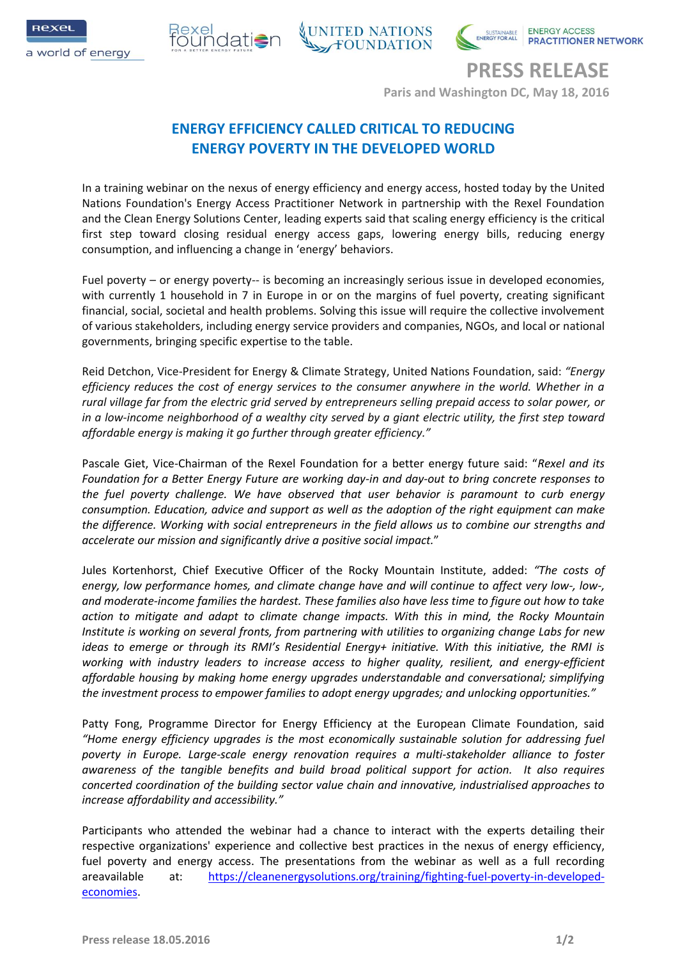





**PRESS RELEASE Paris and Washington DC, May 18, 2016**

# **ENERGY EFFICIENCY CALLED CRITICAL TO REDUCING ENERGY POVERTY IN THE DEVELOPED WORLD**

In a training webinar on the nexus of energy efficiency and energy access, hosted today by the United Nations Foundation's Energy Access Practitioner Network in partnership with the Rexel Foundation and the Clean Energy Solutions Center, leading experts said that scaling energy efficiency is the critical first step toward closing residual energy access gaps, lowering energy bills, reducing energy consumption, and influencing a change in 'energy' behaviors.

Fuel poverty – or energy poverty-- is becoming an increasingly serious issue in developed economies, with currently 1 household in 7 in Europe in or on the margins of fuel poverty, creating significant financial, social, societal and health problems. Solving this issue will require the collective involvement of various stakeholders, including energy service providers and companies, NGOs, and local or national governments, bringing specific expertise to the table.

Reid Detchon, Vice-President for Energy & Climate Strategy, United Nations Foundation, said: *"Energy efficiency reduces the cost of energy services to the consumer anywhere in the world. Whether in a rural village far from the electric grid served by entrepreneurs selling prepaid access to solar power, or in a low-income neighborhood of a wealthy city served by a giant electric utility, the first step toward affordable energy is making it go further through greater efficiency."*

Pascale Giet, Vice-Chairman of the Rexel Foundation for a better energy future said: "*Rexel and its Foundation for a Better Energy Future are working day-in and day-out to bring concrete responses to the fuel poverty challenge. We have observed that user behavior is paramount to curb energy consumption. Education, advice and support as well as the adoption of the right equipment can make the difference. Working with social entrepreneurs in the field allows us to combine our strengths and accelerate our mission and significantly drive a positive social impact.*"

Jules Kortenhorst, Chief Executive Officer of the Rocky Mountain Institute, added: *"The costs of energy, low performance homes, and climate change have and will continue to affect very low-, low-, and moderate-income families the hardest. These families also have less time to figure out how to take action to mitigate and adapt to climate change impacts. With this in mind, the Rocky Mountain Institute is working on several fronts, from partnering with utilities to organizing change Labs for new ideas to emerge or through its RMI's Residential Energy+ initiative. With this initiative, the RMI is working with industry leaders to increase access to higher quality, resilient, and energy-efficient affordable housing by making home energy upgrades understandable and conversational; simplifying the investment process to empower families to adopt energy upgrades; and unlocking opportunities."*

Patty Fong, Programme Director for Energy Efficiency at the European Climate Foundation, said *"Home energy efficiency upgrades is the most economically sustainable solution for addressing fuel poverty in Europe. Large-scale energy renovation requires a multi-stakeholder alliance to foster awareness of the tangible benefits and build broad political support for action. It also requires concerted coordination of the building sector value chain and innovative, industrialised approaches to increase affordability and accessibility."*

Participants who attended the webinar had a chance to interact with the experts detailing their respective organizations' experience and collective best practices in the nexus of energy efficiency, fuel poverty and energy access. The presentations from the webinar as well as a full recording areavailable at: [https://cleanenergysolutions.org/training/fighting-fuel-poverty-in-developed](https://cleanenergysolutions.org/training/fighting-fuel-poverty-in-developed-economies)[economies.](https://cleanenergysolutions.org/training/fighting-fuel-poverty-in-developed-economies)